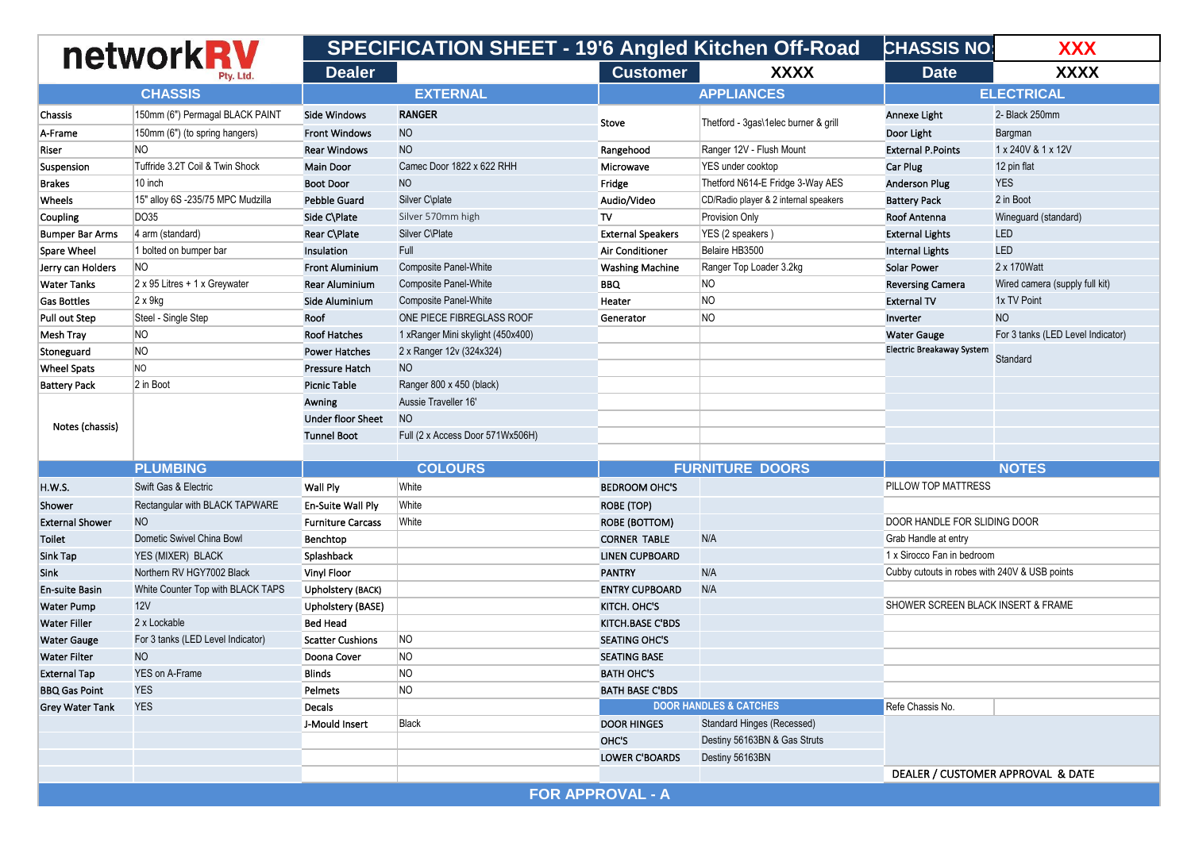| networkRV              |                                      |                          |                                   |                          | <b>SPECIFICATION SHEET - 19'6 Angled Kitchen Off-Road</b> |                                               | <b>CHASSIS NO:</b><br><b>XXX</b>  |
|------------------------|--------------------------------------|--------------------------|-----------------------------------|--------------------------|-----------------------------------------------------------|-----------------------------------------------|-----------------------------------|
|                        | Ptv. Ltd.                            | <b>Dealer</b>            |                                   | <b>Customer</b>          | <b>XXXX</b>                                               | <b>Date</b>                                   | <b>XXXX</b>                       |
|                        | <b>CHASSIS</b>                       |                          | <b>EXTERNAL</b>                   |                          | <b>APPLIANCES</b>                                         |                                               | <b>ELECTRICAL</b>                 |
| Chassis                | 150mm (6") Permagal BLACK PAINT      | <b>Side Windows</b>      | <b>RANGER</b>                     | Stove                    | Thetford - 3gas\1elec burner & grill                      | Annexe Light                                  | 2- Black 250mm                    |
| A-Frame                | 150mm (6") (to spring hangers)       | <b>Front Windows</b>     | <b>NO</b>                         |                          |                                                           | Door Light                                    | Bargman                           |
| Riser                  | NO.                                  | <b>Rear Windows</b>      | <b>NO</b>                         | Rangehood                | Ranger 12V - Flush Mount                                  | <b>External P.Points</b>                      | 1 x 240V & 1 x 12V                |
| Suspension             | Tuffride 3.2T Coil & Twin Shock      | <b>Main Door</b>         | Camec Door 1822 x 622 RHH         | Microwave                | YES under cooktop                                         | <b>Car Plug</b>                               | 12 pin flat                       |
| <b>Brakes</b>          | 10 inch                              | <b>Boot Door</b>         | <b>NO</b>                         | Fridge                   | Thetford N614-E Fridge 3-Way AES                          | <b>Anderson Plug</b>                          | <b>YES</b>                        |
| Wheels                 | 15" alloy 6S -235/75 MPC Mudzilla    | <b>Pebble Guard</b>      | Silver C\plate                    | Audio/Video              | CD/Radio player & 2 internal speakers                     | <b>Battery Pack</b>                           | 2 in Boot                         |
| Coupling               | DO35                                 | Side C\Plate             | Silver 570mm high                 | TV                       | Provision Only                                            | <b>Roof Antenna</b>                           | Wineguard (standard)              |
| <b>Bumper Bar Arms</b> | 4 arm (standard)                     | Rear C\Plate             | Silver C\Plate                    | <b>External Speakers</b> | YES (2 speakers)                                          | <b>External Lights</b>                        | <b>LED</b>                        |
| Spare Wheel            | 1 bolted on bumper bar               | Insulation               | Full                              | <b>Air Conditioner</b>   | Belaire HB3500                                            | <b>Internal Lights</b>                        | <b>LED</b>                        |
| Jerry can Holders      | NO                                   | <b>Front Aluminium</b>   | <b>Composite Panel-White</b>      | <b>Washing Machine</b>   | Ranger Top Loader 3.2kg                                   | <b>Solar Power</b>                            | 2 x 170Watt                       |
| <b>Water Tanks</b>     | $2 \times 95$ Litres + 1 x Greywater | <b>Rear Aluminium</b>    | <b>Composite Panel-White</b>      | <b>BBQ</b>               | N <sub>O</sub>                                            | <b>Reversing Camera</b>                       | Wired camera (supply full kit)    |
| <b>Gas Bottles</b>     | $2 \times 9$ kg                      | Side Aluminium           | <b>Composite Panel-White</b>      | Heater                   | NO                                                        | <b>External TV</b>                            | 1x TV Point                       |
| Pull out Step          | Steel - Single Step                  | Roof                     | ONE PIECE FIBREGLASS ROOF         | Generator                | NO                                                        | Inverter                                      | <b>NO</b>                         |
| Mesh Tray              | NO                                   | <b>Roof Hatches</b>      | 1 xRanger Mini skylight (450x400) |                          |                                                           | <b>Water Gauge</b>                            | For 3 tanks (LED Level Indicator) |
| Stoneguard             | NO                                   | <b>Power Hatches</b>     | 2 x Ranger 12v (324x324)          |                          |                                                           | <b>Electric Breakaway System</b>              |                                   |
| <b>Wheel Spats</b>     | NO                                   | <b>Pressure Hatch</b>    | <b>NO</b>                         |                          |                                                           |                                               | Standard                          |
| <b>Battery Pack</b>    | 2 in Boot                            | <b>Picnic Table</b>      | Ranger 800 x 450 (black)          |                          |                                                           |                                               |                                   |
| Notes (chassis)        |                                      | Awning                   | Aussie Traveller 16'              |                          |                                                           |                                               |                                   |
|                        |                                      | <b>Under floor Sheet</b> | <b>NO</b>                         |                          |                                                           |                                               |                                   |
|                        |                                      | <b>Tunnel Boot</b>       | Full (2 x Access Door 571Wx506H)  |                          |                                                           |                                               |                                   |
|                        |                                      |                          |                                   |                          |                                                           |                                               |                                   |
|                        | <b>PLUMBING</b>                      |                          | <b>COLOURS</b>                    |                          | <b>FURNITURE DOORS</b>                                    |                                               | <b>NOTES</b>                      |
| <b>H.W.S.</b>          | Swift Gas & Electric                 | Wall Ply                 | White                             | <b>BEDROOM OHC'S</b>     |                                                           | PILLOW TOP MATTRESS                           |                                   |
| Shower                 | Rectangular with BLACK TAPWARE       | En-Suite Wall Ply        | White                             | <b>ROBE (TOP)</b>        |                                                           |                                               |                                   |
| <b>External Shower</b> | <b>NO</b>                            | <b>Furniture Carcass</b> | White                             | ROBE (BOTTOM)            |                                                           | DOOR HANDLE FOR SLIDING DOOR                  |                                   |
| Toilet                 | Dometic Swivel China Bowl            | Benchtop                 |                                   | <b>CORNER TABLE</b>      | N/A                                                       | Grab Handle at entry                          |                                   |
| Sink Tap               | YES (MIXER) BLACK                    | Splashback               |                                   | <b>LINEN CUPBOARD</b>    |                                                           | 1 x Sirocco Fan in bedroom                    |                                   |
| Sink                   | Northern RV HGY7002 Black            | Vinyl Floor              |                                   | <b>PANTRY</b>            | N/A                                                       | Cubby cutouts in robes with 240V & USB points |                                   |
| En-suite Basin         | White Counter Top with BLACK TAPS    | Upholstery (BACK)        |                                   | <b>ENTRY CUPBOARD</b>    | N/A                                                       |                                               |                                   |
| <b>Water Pump</b>      | 12V                                  | Upholstery (BASE)        |                                   | KITCH. OHC'S             |                                                           | SHOWER SCREEN BLACK INSERT & FRAME            |                                   |
| <b>Water Filler</b>    | 2 x Lockable                         | <b>Bed Head</b>          |                                   | <b>KITCH.BASE C'BDS</b>  |                                                           |                                               |                                   |
| <b>Water Gauge</b>     | For 3 tanks (LED Level Indicator)    | <b>Scatter Cushions</b>  | NO                                | <b>SEATING OHC'S</b>     |                                                           |                                               |                                   |
| <b>Water Filter</b>    | <b>NO</b>                            | Doona Cover              | NO                                | <b>SEATING BASE</b>      |                                                           |                                               |                                   |
| <b>External Tap</b>    | <b>YES on A-Frame</b>                | <b>Blinds</b>            | NO                                | <b>BATH OHC'S</b>        |                                                           |                                               |                                   |
| <b>BBQ Gas Point</b>   | <b>YES</b>                           | Pelmets                  | NO                                | <b>BATH BASE C'BDS</b>   |                                                           |                                               |                                   |
| <b>Grey Water Tank</b> | <b>YES</b>                           | Decals                   |                                   |                          | <b>DOOR HANDLES &amp; CATCHES</b>                         | Refe Chassis No.                              |                                   |
|                        |                                      | J-Mould Insert           | Black                             | <b>DOOR HINGES</b>       | <b>Standard Hinges (Recessed)</b>                         |                                               |                                   |
|                        |                                      |                          |                                   | OHC'S                    | Destiny 56163BN & Gas Struts                              |                                               |                                   |
|                        |                                      |                          |                                   | <b>LOWER C'BOARDS</b>    | Destiny 56163BN                                           |                                               |                                   |
|                        |                                      |                          |                                   |                          |                                                           |                                               | DEALER / CUSTOMER APPROVAL & DATE |
|                        |                                      |                          |                                   | <b>FOR APPROVAL - A</b>  |                                                           |                                               |                                   |